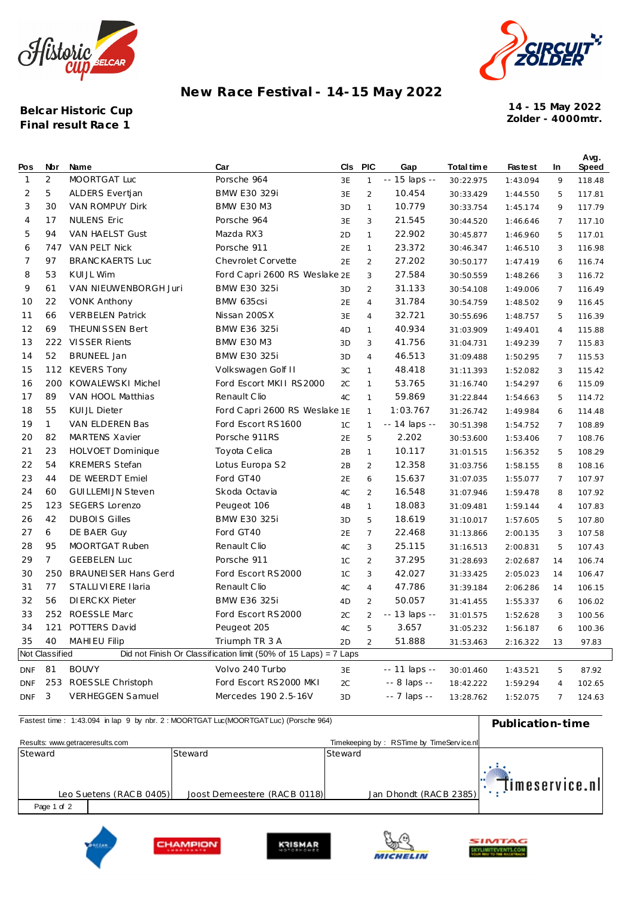



## New Race Festival - 14-15 May 2022

Belcar Historic Cup Final result Race 1

14 - 15 May 2022 Zolder - 4000mtr.

 $\ddot{\phantom{a}}$ 

| Pos            | Nbr            | Name                        | Car                                                              | CIs | <b>PIC</b>     | Gap           | Total time | <b>Fastest</b> | In             | Avy.<br>Speed |
|----------------|----------------|-----------------------------|------------------------------------------------------------------|-----|----------------|---------------|------------|----------------|----------------|---------------|
| $\mathbf{1}$   | $\overline{2}$ | MOORTGAT Luc                | Porsche 964                                                      | 3E  | 1              | -- 15 laps -- | 30:22.975  | 1:43.094       | 9              | 118.48        |
| $\overline{2}$ | 5              | ALDERS Evertjan             | BMW E30 329i                                                     | 3E  | $\overline{2}$ | 10.454        | 30:33.429  | 1:44.550       | 5              | 117.81        |
| 3              | 30             | VAN ROMPUY Dirk             | <b>BMW E30 M3</b>                                                | 3D  | $\mathbf{1}$   | 10.779        | 30:33.754  | 1:45.174       | 9              | 117.79        |
| 4              | 17             | <b>NULENS Eric</b>          | Porsche 964                                                      | 3E  | 3              | 21.545        | 30:44.520  | 1:46.646       | $\overline{7}$ | 117.10        |
| 5              | 94             | VAN HAELST Gust             | Mazda RX3                                                        | 2D  | 1              | 22.902        | 30:45.877  | 1:46.960       | 5              | 117.01        |
| 6              | 747            | VAN PELT Nick               | Porsche 911                                                      | 2E  | $\mathbf{1}$   | 23.372        | 30:46.347  | 1:46.510       | 3              | 116.98        |
| 7              | 97             | <b>BRANC KAERTS Luc</b>     | Chevrolet Corvette                                               | 2E  | $\overline{2}$ | 27.202        | 30:50.177  | 1:47.419       | 6              | 116.74        |
| 8              | 53             | KUIJL Wim                   | Ford Capri 2600 RS Weslake 2E                                    |     | 3              | 27.584        | 30:50.559  | 1:48.266       | 3              | 116.72        |
| 9              | 61             | VAN NIEUWENBORGH Juri       | <b>BMW E30 325i</b>                                              | 3D  | $\overline{2}$ | 31.133        | 30:54.108  | 1:49.006       | $\overline{7}$ | 116.49        |
| 10             | 22             | <b>VONK Anthony</b>         | BMW 635csi                                                       | 2E  | $\overline{4}$ | 31.784        | 30:54.759  | 1:48.502       | 9              | 116.45        |
| 11             | 66             | <b>VERBELEN Patrick</b>     | Nissan 200SX                                                     | 3E  | $\overline{4}$ | 32.721        | 30:55.696  | 1:48.757       | 5              | 116.39        |
| 12             | 69             | <b>THEUNISSEN Bert</b>      | <b>BMW E36 325i</b>                                              | 4D  | $\mathbf{1}$   | 40.934        | 31:03.909  | 1:49.401       | 4              | 115.88        |
| 13             |                | 222 VISSER Rients           | <b>BMW E30 M3</b>                                                | 3D  | 3              | 41.756        | 31:04.731  | 1:49.239       | $\overline{7}$ | 115.83        |
| 14             | 52             | <b>BRUNEEL Jan</b>          | <b>BMW E30 325i</b>                                              | 3D  | $\overline{4}$ | 46.513        | 31:09.488  | 1:50.295       | $\overline{7}$ | 115.53        |
| 15             | 112            | <b>KEVERS Tony</b>          | Volkswagen Golf II                                               | 3C  | 1              | 48.418        | 31:11.393  | 1:52.082       | 3              | 115.42        |
| 16             | 200            | KOWALEWSKI Michel           | Ford Escort MKII RS2000                                          | 2C  | 1              | 53.765        | 31:16.740  | 1:54.297       | 6              | 115.09        |
| 17             | 89             | VAN HOOL Matthias           | Renault Clio                                                     | 4C  | 1              | 59.869        | 31:22.844  | 1:54.663       | 5              | 114.72        |
| 18             | 55             | KUIJL Dieter                | Ford Capri 2600 RS Weslake 1E                                    |     | $\mathbf{1}$   | 1:03.767      | 31:26.742  | 1:49.984       | 6              | 114.48        |
| 19             | $\mathbf{1}$   | VAN ELDEREN Bas             | Ford Escort RS1600                                               | 1C  | 1              | -- 14 laps -- | 30:51.398  | 1:54.752       | $\overline{7}$ | 108.89        |
| 20             | 82             | <b>MARTENS Xavier</b>       | Porsche 911RS                                                    | 2E  | 5              | 2.202         | 30:53.600  | 1:53.406       | $\overline{7}$ | 108.76        |
| 21             | 23             | HOLVOET Dominique           | Toyota Celica                                                    | 2B  | $\mathbf{1}$   | 10.117        | 31:01.515  | 1:56.352       | 5              | 108.29        |
| 22             | 54             | <b>KREMERS Stefan</b>       | Lotus Europa S2                                                  | 2B  | $\overline{2}$ | 12.358        | 31:03.756  | 1:58.155       | 8              | 108.16        |
| 23             | 44             | DE WEERDT Emiel             | Ford GT40                                                        | 2E  | 6              | 15.637        | 31:07.035  | 1:55.077       | $\overline{7}$ | 107.97        |
| 24             | 60             | <b>GUILLEMIJN Steven</b>    | Skoda Octavia                                                    | 4C  | $\overline{2}$ | 16.548        | 31:07.946  | 1:59.478       | 8              | 107.92        |
| 25             | 123            | <b>SEGERS Lorenzo</b>       | Peugeot 106                                                      | 4B  | $\mathbf{1}$   | 18.083        | 31:09.481  | 1:59.144       | $\overline{4}$ | 107.83        |
| 26             | 42             | <b>DUBOIS Gilles</b>        | <b>BMW E30 325i</b>                                              | 3D  | 5              | 18.619        | 31:10.017  | 1:57.605       | 5              | 107.80        |
| 27             | 6              | DE BAER Guy                 | Ford GT40                                                        | 2E  | $\overline{7}$ | 22.468        | 31:13.866  | 2:00.135       | 3              | 107.58        |
| 28             | 95             | MOORTGAT Ruben              | Renault Clio                                                     | 4C  | 3              | 25.115        | 31:16.513  | 2:00.831       | 5              | 107.43        |
| 29             | $\overline{7}$ | <b>GEEBELEN Luc</b>         | Porsche 911                                                      | 1C  | $\overline{2}$ | 37.295        | 31:28.693  | 2:02.687       | 14             | 106.74        |
| 30             | 250            | <b>BRAUNEISER Hans Gerd</b> | Ford Escort RS2000                                               | 1C  | 3              | 42.027        | 31:33.425  | 2:05.023       | 14             | 106.47        |
| 31             | 77             | STALLIVIERE I laria         | Renault Clio                                                     | 4C  | 4              | 47.786        | 31:39.184  | 2:06.286       | 14             | 106.15        |
| 32             | 56             | DIERCKX Pieter              | BMW E36 325i                                                     | 4D  | $\overline{2}$ | 50.057        | 31:41.455  | 1:55.337       | 6              | 106.02        |
| 33             |                | 252 ROESSLE Marc            | Ford Escort RS2000                                               | 2C  | $\overline{2}$ | -- 13 laps -- | 31:01.575  | 1:52.628       | 3              | 100.56        |
| 34             | 121            | POTTERS David               | Peugeot 205                                                      | 4C  | 5              | 3.657         | 31:05.232  | 1:56.187       | 6              | 100.36        |
| 35             | 40             | <b>MAHIEU Filip</b>         | Triumph TR 3 A                                                   | 2D  | $\overline{2}$ | 51.888        | 31:53.463  | 2:16.322       | 13             | 97.83         |
|                | Not Classified |                             | Did not Finish Or Classification limit (50% of 15 Laps) = 7 Laps |     |                |               |            |                |                |               |
| <b>DNF</b>     | 81             | <b>BOUVY</b>                | Volvo 240 Turbo                                                  | 3E  |                | -- 11 laps -- | 30:01.460  | 1:43.521       | 5              | 87.92         |
| <b>DNF</b>     |                | 253 ROESSLE Christoph       | Ford Escort RS2000 MKI                                           | 2C  |                | -- 8 laps --  | 18:42.222  | 1:59.294       | $\overline{4}$ | 102.65        |
| <b>DNF</b>     | 3              | <b>VERHEGGEN Samuel</b>     | Mercedes 190 2.5-16V                                             | 3D  |                | -- 7 laps --  | 13:28.762  | 1:52.075       | $7^{\circ}$    | 124.63        |

| Fastest time: 1:43.094 in lap 9 by nbr. 2: MOORTGAT LUC(MOORTGAT LUC) (POISCRE 964) | Publication-time        |                               |                                           |                |
|-------------------------------------------------------------------------------------|-------------------------|-------------------------------|-------------------------------------------|----------------|
| Results: www.getraceresults.com                                                     |                         |                               | Timekeeping by: RSTime by TimeService.nll |                |
| Steward                                                                             |                         | Steward                       | Steward                                   |                |
|                                                                                     |                         |                               |                                           |                |
|                                                                                     | Leo Suetens (RACB 0405) | Joost Demeestere (RAC B 0118) | Jan Dhondt (RACB 2385)                    | timeservice.nl |
| Page 1 of 2                                                                         |                         |                               |                                           |                |